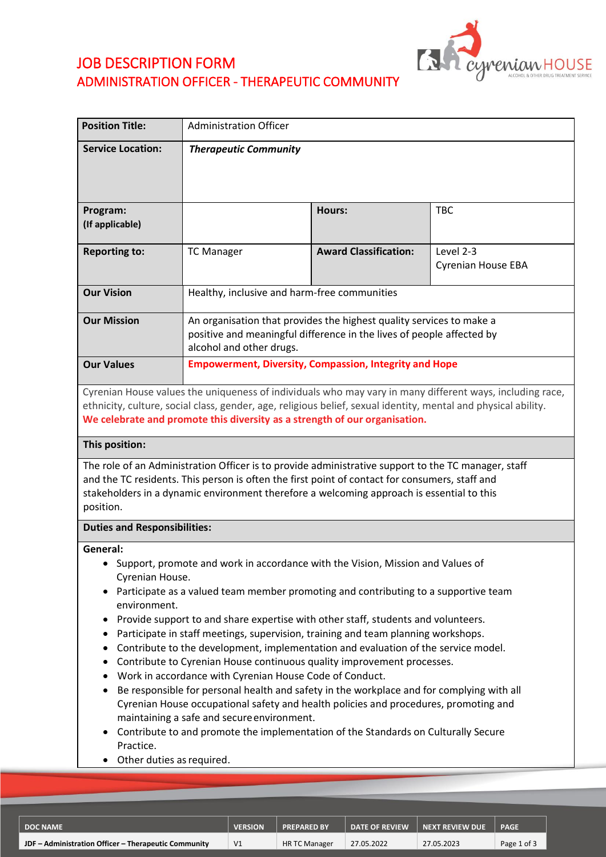

# JOB DESCRIPTION FORM ADMINISTRATION OFFICER - THERAPEUTIC COMMUNITY

| <b>Position Title:</b>                                                                | <b>Administration Officer</b>                                                                                                                                                                                                                                                                                                                                                                                                                                                                                                                                                                                                                                                                                                                                                                                                                                                                       |                              |                                                                                                          |  |  |  |
|---------------------------------------------------------------------------------------|-----------------------------------------------------------------------------------------------------------------------------------------------------------------------------------------------------------------------------------------------------------------------------------------------------------------------------------------------------------------------------------------------------------------------------------------------------------------------------------------------------------------------------------------------------------------------------------------------------------------------------------------------------------------------------------------------------------------------------------------------------------------------------------------------------------------------------------------------------------------------------------------------------|------------------------------|----------------------------------------------------------------------------------------------------------|--|--|--|
| <b>Service Location:</b>                                                              | <b>Therapeutic Community</b>                                                                                                                                                                                                                                                                                                                                                                                                                                                                                                                                                                                                                                                                                                                                                                                                                                                                        |                              |                                                                                                          |  |  |  |
| Program:<br>(If applicable)                                                           |                                                                                                                                                                                                                                                                                                                                                                                                                                                                                                                                                                                                                                                                                                                                                                                                                                                                                                     | Hours:                       | <b>TBC</b>                                                                                               |  |  |  |
| <b>Reporting to:</b>                                                                  | <b>TC Manager</b>                                                                                                                                                                                                                                                                                                                                                                                                                                                                                                                                                                                                                                                                                                                                                                                                                                                                                   | <b>Award Classification:</b> | Level 2-3<br><b>Cyrenian House EBA</b>                                                                   |  |  |  |
| <b>Our Vision</b>                                                                     | Healthy, inclusive and harm-free communities                                                                                                                                                                                                                                                                                                                                                                                                                                                                                                                                                                                                                                                                                                                                                                                                                                                        |                              |                                                                                                          |  |  |  |
| <b>Our Mission</b>                                                                    | An organisation that provides the highest quality services to make a<br>positive and meaningful difference in the lives of people affected by<br>alcohol and other drugs.                                                                                                                                                                                                                                                                                                                                                                                                                                                                                                                                                                                                                                                                                                                           |                              |                                                                                                          |  |  |  |
| <b>Our Values</b>                                                                     | <b>Empowerment, Diversity, Compassion, Integrity and Hope</b>                                                                                                                                                                                                                                                                                                                                                                                                                                                                                                                                                                                                                                                                                                                                                                                                                                       |                              |                                                                                                          |  |  |  |
| This position:<br>position.                                                           | ethnicity, culture, social class, gender, age, religious belief, sexual identity, mental and physical ability.<br>We celebrate and promote this diversity as a strength of our organisation.<br>The role of an Administration Officer is to provide administrative support to the TC manager, staff<br>and the TC residents. This person is often the first point of contact for consumers, staff and<br>stakeholders in a dynamic environment therefore a welcoming approach is essential to this                                                                                                                                                                                                                                                                                                                                                                                                  |                              | Cyrenian House values the uniqueness of individuals who may vary in many different ways, including race, |  |  |  |
| <b>Duties and Responsibilities:</b>                                                   |                                                                                                                                                                                                                                                                                                                                                                                                                                                                                                                                                                                                                                                                                                                                                                                                                                                                                                     |                              |                                                                                                          |  |  |  |
| General:<br>Cyrenian House.<br>environment.<br>Practice.<br>Other duties as required. | Support, promote and work in accordance with the Vision, Mission and Values of<br>Participate as a valued team member promoting and contributing to a supportive team<br>Provide support to and share expertise with other staff, students and volunteers.<br>Participate in staff meetings, supervision, training and team planning workshops.<br>Contribute to the development, implementation and evaluation of the service model.<br>Contribute to Cyrenian House continuous quality improvement processes.<br>Work in accordance with Cyrenian House Code of Conduct.<br>Be responsible for personal health and safety in the workplace and for complying with all<br>Cyrenian House occupational safety and health policies and procedures, promoting and<br>maintaining a safe and secure environment.<br>Contribute to and promote the implementation of the Standards on Culturally Secure |                              |                                                                                                          |  |  |  |

| ∣DOC NAME                                            | VERSION        | <b>PREPARED BY</b>   | <b>DATE OF REVIEW</b> | <b>NEXT REVIEW DUE</b> | <b>PAGE</b> |
|------------------------------------------------------|----------------|----------------------|-----------------------|------------------------|-------------|
| JDF - Administration Officer - Therapeutic Community | V <sub>1</sub> | <b>HR TC Manager</b> | 27.05.2022            | 27.05.2023             | Page 1 of 3 |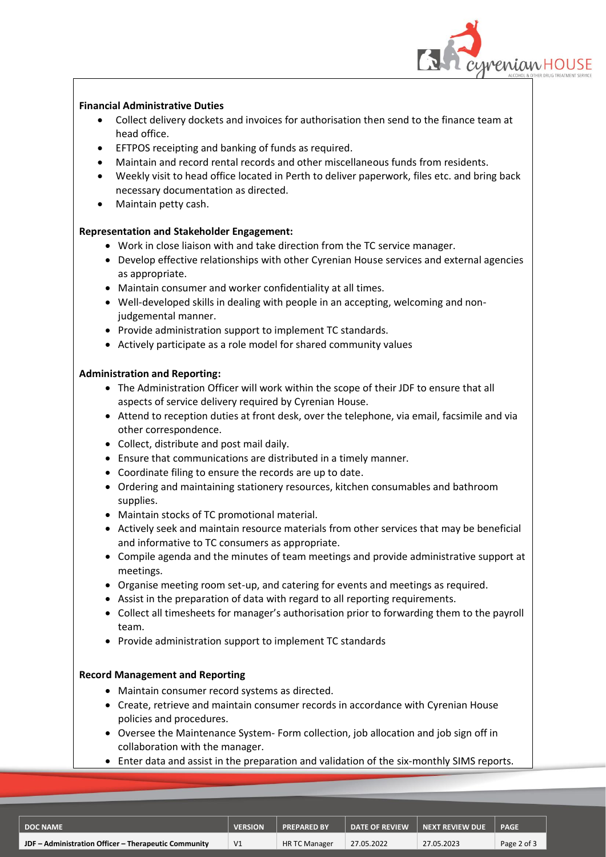

# **Financial Administrative Duties**

- Collect delivery dockets and invoices for authorisation then send to the finance team at head office.
- EFTPOS receipting and banking of funds as required.
- Maintain and record rental records and other miscellaneous funds from residents.
- Weekly visit to head office located in Perth to deliver paperwork, files etc. and bring back necessary documentation as directed.
- Maintain petty cash.

# **Representation and Stakeholder Engagement:**

- Work in close liaison with and take direction from the TC service manager.
- Develop effective relationships with other Cyrenian House services and external agencies as appropriate.
- Maintain consumer and worker confidentiality at all times.
- Well-developed skills in dealing with people in an accepting, welcoming and nonjudgemental manner.
- Provide administration support to implement TC standards.
- Actively participate as a role model for shared community values

# **Administration and Reporting:**

- The Administration Officer will work within the scope of their JDF to ensure that all aspects of service delivery required by Cyrenian House.
- Attend to reception duties at front desk, over the telephone, via email, facsimile and via other correspondence.
- Collect, distribute and post mail daily.
- Ensure that communications are distributed in a timely manner.
- Coordinate filing to ensure the records are up to date.
- Ordering and maintaining stationery resources, kitchen consumables and bathroom supplies.
- Maintain stocks of TC promotional material.
- Actively seek and maintain resource materials from other services that may be beneficial and informative to TC consumers as appropriate.
- Compile agenda and the minutes of team meetings and provide administrative support at meetings.
- Organise meeting room set-up, and catering for events and meetings as required.
- Assist in the preparation of data with regard to all reporting requirements.
- Collect all timesheets for manager's authorisation prior to forwarding them to the payroll team.
- Provide administration support to implement TC standards

## **Record Management and Reporting**

- Maintain consumer record systems as directed.
- Create, retrieve and maintain consumer records in accordance with Cyrenian House policies and procedures.
- Oversee the Maintenance System- Form collection, job allocation and job sign off in collaboration with the manager.
- Enter data and assist in the preparation and validation of the six-monthly SIMS reports.

| <b>DOC NAME</b>                                      | <b>VERSION</b> | <b>PREPARED BY</b>   | <b>DATE OF REVIEW</b> | <b>NEXT REVIEW DUE</b> | <b>PAGE</b> |
|------------------------------------------------------|----------------|----------------------|-----------------------|------------------------|-------------|
| JDF - Administration Officer - Therapeutic Community | V <sub>1</sub> | <b>HR TC Manager</b> | 27.05.2022            | 27.05.2023             | Page 2 of 3 |